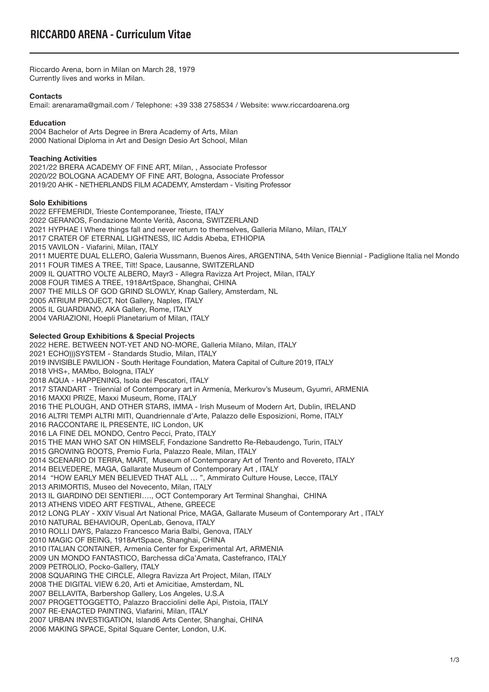Riccardo Arena, born in Milan on March 28, 1979 Currently lives and works in Milan.

## **Contacts**

Email: arenarama@gmail.com / Telephone: +39 338 2758534 / Website: www.riccardoarena.org

## **Education**

2004 Bachelor of Arts Degree in Brera Academy of Arts, Milan 2000 National Diploma in Art and Design Desio Art School, Milan

## **Teaching Activities**

2021/22 BRERA ACADEMY OF FINE ART, Milan, , Associate Professor 2020/22 BOLOGNA ACADEMY OF FINE ART, Bologna, Associate Professor 2019/20 AHK - NETHERLANDS FILM ACADEMY, Amsterdam - Visiting Professor

## **Solo Exhibitions**

2022 EFFEMERIDI, Trieste Contemporanee, Trieste, ITALY 2022 GERANOS, Fondazione Monte Verità, Ascona, SWITZERLAND 2021 HYPHAE l Where things fall and never return to themselves, Galleria Milano, Milan, ITALY 2017 CRATER OF ETERNAL LIGHTNESS, IIC Addis Abeba, ETHIOPIA 2015 VAVILON - Viafarini, Milan, ITALY 2011 MUERTE DUAL ELLERO, Galeria Wussmann, Buenos Aires, ARGENTINA, 54th Venice Biennial - Padiglione Italia nel Mondo 2011 FOUR TIMES A TREE, Tilt! Space, Lausanne, SWITZERLAND 2009 IL QUATTRO VOLTE ALBERO, Mayr3 - Allegra Ravizza Art Project, Milan, ITALY 2008 FOUR TIMES A TREE, 1918ArtSpace, Shanghai, CHINA 2007 THE MILLS OF GOD GRIND SLOWLY, Knap Gallery, Amsterdam, NL 2005 ATRIUM PROJECT, Not Gallery, Naples, ITALY 2005 IL GUARDIANO, AKA Gallery, Rome, ITALY 2004 VARIAZIONI, Hoepli Planetarium of Milan, ITALY

# **Selected Group Exhibitions & Special Projects**

2022 HERE. BETWEEN NOT-YET AND NO-MORE, Galleria Milano, Milan, ITALY 2021 ECHO)))SYSTEM - Standards Studio, Milan, ITALY 2019 INVISIBLE PAVILION - South Heritage Foundation, Matera Capital of Culture 2019, ITALY 2018 VHS+, MAMbo, Bologna, ITALY 2018 AQUA - HAPPENING, Isola dei Pescatori, ITALY 2017 STANDART - Triennial of Contemporary art in Armenia, Merkurov's Museum, Gyumri, ARMENIA 2016 MAXXI PRIZE, Maxxi Museum, Rome, ITALY 2016 THE PLOUGH, AND OTHER STARS, IMMA - Irish Museum of Modern Art, Dublin, IRELAND 2016 ALTRI TEMPI ALTRI MITI, Quandriennale d'Arte, Palazzo delle Esposizioni, Rome, ITALY 2016 RACCONTARE IL PRESENTE, IIC London, UK 2016 LA FINE DEL MONDO, Centro Pecci, Prato, ITALY 2015 THE MAN WHO SAT ON HIMSELF, Fondazione Sandretto Re-Rebaudengo, Turin, ITALY 2015 GROWING ROOTS, Premio Furla, Palazzo Reale, Milan, ITALY 2014 SCENARIO DI TERRA, MART, Museum of Contemporary Art of Trento and Rovereto, ITALY 2014 BELVEDERE, MAGA, Gallarate Museum of Contemporary Art , ITALY 2014 "HOW EARLY MEN BELIEVED THAT ALL … ", Ammirato Culture House, Lecce, ITALY 2013 ARIMORTIS, Museo del Novecento, Milan, ITALY 2013 IL GIARDINO DEI SENTIERI…., OCT Contemporary Art Terminal Shanghai, CHINA 2013 ATHENS VIDEO ART FESTIVAL, Athene, GREECE 2012 LONG PLAY - XXIV Visual Art National Price, MAGA, Gallarate Museum of Contemporary Art , ITALY 2010 NATURAL BEHAVIOUR, OpenLab, Genova, ITALY 2010 ROLLI DAYS, Palazzo Francesco Maria Balbi, Genova, ITALY 2010 MAGIC OF BEING, 1918ArtSpace, Shanghai, CHINA 2010 ITALIAN CONTAINER, Armenia Center for Experimental Art, ARMENIA 2009 UN MONDO FANTASTICO, Barchessa diCa'Amata, Castefranco, ITALY 2009 PETROLIO, Pocko-Gallery, ITALY 2008 SQUARING THE CIRCLE, Allegra Ravizza Art Project, Milan, ITALY 2008 THE DIGITAL VIEW 6.20, Arti et Amicitiae, Amsterdam, NL 2007 BELLAVITA, Barbershop Gallery, Los Angeles, U.S.A 2007 PROGETTOGGETTO, Palazzo Bracciolini delle Api, Pistoia, ITALY 2007 RE-ENACTED PAINTING, Viafarini, Milan, ITALY 2007 URBAN INVESTIGATION, Island6 Arts Center, Shanghai, CHINA 2006 MAKING SPACE, Spital Square Center, London, U.K.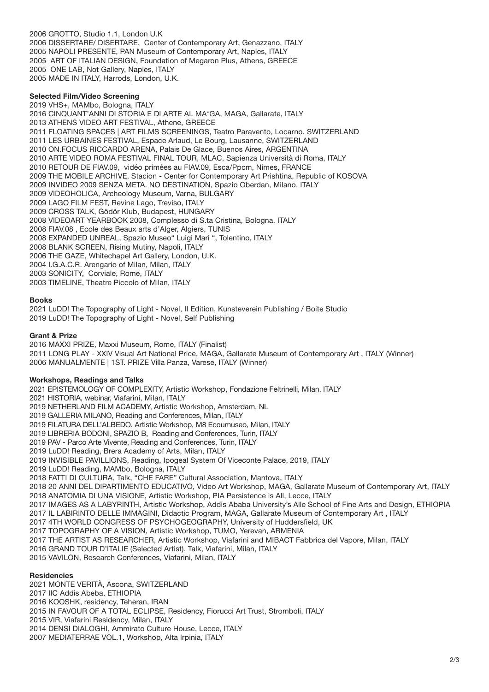2006 GROTTO, Studio 1.1, London U.K 2006 DISSERTARE/ DISERTARE, Center of Contemporary Art, Genazzano, ITALY 2005 NAPOLI PRESENTE, PAN Museum of Contemporary Art, Naples, ITALY 2005 ART OF ITALIAN DESIGN, Foundation of Megaron Plus, Athens, GREECE 2005 ONE LAB, Not Gallery, Naples, ITALY 2005 MADE IN ITALY, Harrods, London, U.K.

## **Selected Film/Video Screening**

2019 VHS+, MAMbo, Bologna, ITALY 2016 CINQUANT'ANNI DI STORIA E DI ARTE AL MA\*GA, MAGA, Gallarate, ITALY 2013 ATHENS VIDEO ART FESTIVAL, Athene, GREECE 2011 FLOATING SPACES | ART FILMS SCREENINGS, Teatro Paravento, Locarno, SWITZERLAND 2011 LES URBAINES FESTIVAL, Espace Arlaud, Le Bourg, Lausanne, SWITZERLAND 2010 ON.FOCUS RICCARDO ARENA, Palais De Glace, Buenos Aires, ARGENTINA 2010 ARTE VIDEO ROMA FESTIVAL FINAL TOUR, MLAC, Sapienza Università di Roma, ITALY 2010 RETOUR DE FIAV.09, vidéo primées au FIAV.09, Esca/Ppcm, Nimes, FRANCE 2009 THE MOBILE ARCHIVE, Stacion - Center for Contemporary Art Prishtina, Republic of KOSOVA 2009 INVIDEO 2009 SENZA META. NO DESTINATION, Spazio Oberdan, Milano, ITALY 2009 VIDEOHOLICA, Archeology Museum, Varna, BULGARY 2009 LAGO FILM FEST, Revine Lago, Treviso, ITALY 2009 CROSS TALK, Gödör Klub, Budapest, HUNGARY 2008 VIDEOART YEARBOOK 2008, Complesso di S.ta Cristina, Bologna, ITALY 2008 FIAV.08 , Ecole des Beaux arts d'Alger, Algiers, TUNIS 2008 EXPANDED UNREAL, Spazio Museo" Luigi Mari ", Tolentino, ITALY 2008 BLANK SCREEN, Rising Mutiny, Napoli, ITALY 2006 THE GAZE, Whitechapel Art Gallery, London, U.K. 2004 I.G.A.C.R. Arengario of Milan, Milan, ITALY 2003 SONICITY, Corviale, Rome, ITALY 2003 TIMELINE, Theatre Piccolo of Milan, ITALY

### **Books**

2021 LuDD! The Topography of Light - Novel, II Edition, Kunsteverein Publishing / Boite Studio 2019 LuDD! The Topography of Light - Novel, Self Publishing

### **Grant & Prize**

2016 MAXXI PRIZE, Maxxi Museum, Rome, ITALY (Finalist) 2011 LONG PLAY - XXIV Visual Art National Price, MAGA, Gallarate Museum of Contemporary Art , ITALY (Winner) 2006 MANUALMENTE | 1ST. PRIZE Villa Panza, Varese, ITALY (Winner)

### **Workshops, Readings and Talks**

2021 EPISTEMOLOGY OF COMPLEXITY, Artistic Workshop, Fondazione Feltrinelli, Milan, ITALY 2021 HISTORIA, webinar, Viafarini, Milan, ITALY 2019 NETHERLAND FILM ACADEMY, Artistic Workshop, Amsterdam, NL 2019 GALLERIA MILANO, Reading and Conferences, Milan, ITALY 2019 FILATURA DELL'ALBEDO, Artistic Workshop, M8 Ecoumuseo, Milan, ITALY 2019 LIBRERIA BODONI, SPAZIO B, Reading and Conferences, Turin, ITALY 2019 PAV - Parco Arte Vivente, Reading and Conferences, Turin, ITALY 2019 LuDD! Reading, Brera Academy of Arts, Milan, ITALY 2019 INVISIBLE PAVILLIONS, Reading, Ipogeal System Of Viceconte Palace, 2019, ITALY 2019 LuDD! Reading, MAMbo, Bologna, ITALY 2018 FATTI DI CULTURA, Talk, "CHE FARE" Cultural Association, Mantova, ITALY 2018 20 ANNI DEL DIPARTIMENTO EDUCATIVO, Video Art Workshop, MAGA, Gallarate Museum of Contemporary Art, ITALY 2018 ANATOMIA DI UNA VISIONE, Artistic Workshop, PIA Persistence is All, Lecce, ITALY 2017 IMAGES AS A LABYRINTH, Artistic Workshop, Addis Ababa University's Alle School of Fine Arts and Design, ETHIOPIA 2017 IL LABIRINTO DELLE IMMAGINI, Didactic Program, MAGA, Gallarate Museum of Contemporary Art , ITALY 2017 4TH WORLD CONGRESS OF PSYCHOGEOGRAPHY, University of Huddersfield, UK 2017 TOPOGRAPHY OF A VISION, Artistic Workshop, TUMO, Yerevan, ARMENIA 2017 THE ARTIST AS RESEARCHER, Artistic Workshop, Viafarini and MIBACT Fabbrica del Vapore, Milan, ITALY 2016 GRAND TOUR D'ITALIE (Selected Artist), Talk, Viafarini, Milan, ITALY 2015 VAVILON, Research Conferences, Viafarini, Milan, ITALY **Residencies** 2021 MONTE VERITÀ, Ascona, SWITZERLAND 2017 IIC Addis Abeba, ETHIOPIA

2016 KOOSHK, residency, Teheran, IRAN

2015 IN FAVOUR OF A TOTAL ECLIPSE, Residency, Fiorucci Art Trust, Stromboli, ITALY

2015 VIR, Viafarini Residency, Milan, ITALY

2014 DENSI DIALOGHI, Ammirato Culture House, Lecce, ITALY

2007 MEDIATERRAE VOL.1, Workshop, Alta Irpinia, ITALY